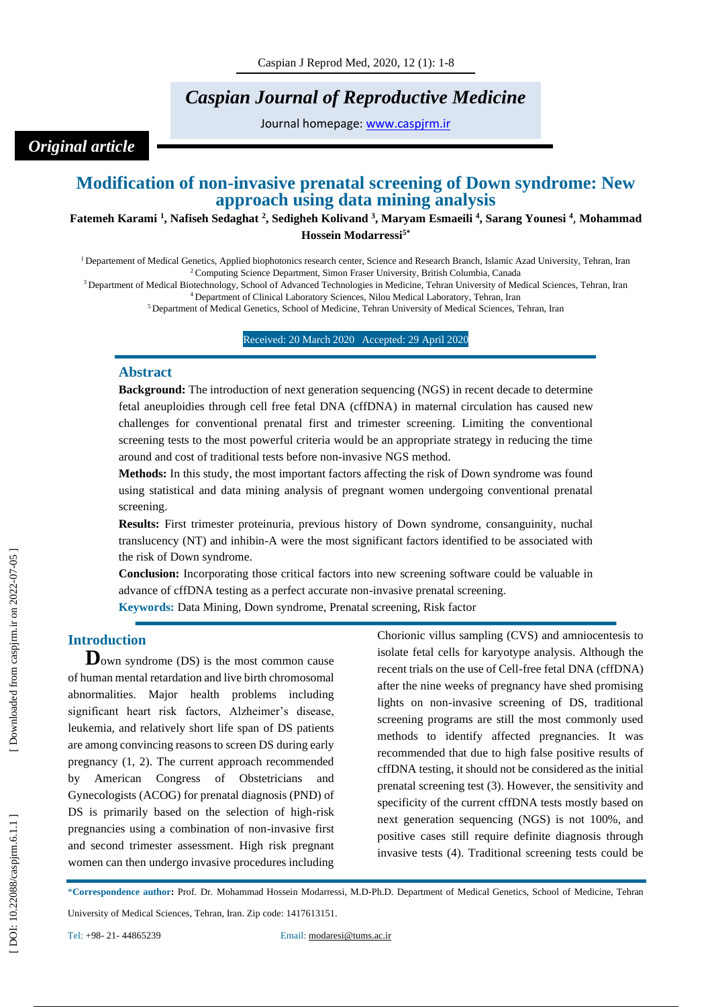# *Caspian Journal of Reproductive Medicine*

Journal homepage: [www.caspjrm.ir](http://www.caspjrm.ir/)

# *Original article*

# **Modification of non -invasive prenatal screening of Down syndrome: New approach using data mining analysis**

**Fatemeh Karami 1 , Nafiseh Sedaghat 2 , Sedigheh Kolivand 3 , Maryam Esmaeili 4 , Sarang Younesi 4** , **Mohammad Hossein Modarressi 5 \***

<sup>1</sup> Departement of Medical Genetics, Applied biophotonics research center, Science and Research Branch, Islamic Azad University, Tehran, Iran <sup>2</sup> Computing Science Department, Simon Fraser University, British Columbia, Canada

<sup>3</sup> Department of Medical Biotechnology, School of Advanced Technologies in Medicine, Tehran University of Medical Sciences, Tehran, Iran <sup>4</sup> Department of Clinical Laboratory Sciences, Nilou Medical Laboratory, Tehran, Iran

<sup>5</sup> Department of Medical Genetics, School of Medicine, Tehran University of Medical Sciences, Tehran, Iran

Received: 20 March 2020 Accepted : 29 April 2020

### **Abstract**

**Background:** The introduction of next generation sequencing (NGS) in recent decade to determine fetal aneuploidies through cell free fetal DNA (cffDNA) in maternal circulation has caused new challenges for conventional prenatal first and trimester screening. Limiting the conventional screening tests to the most powerful criteria would be an appropriate strategy in reducing the time around and cost of traditional tests before non -invasive NGS method.

**Methods:** In this study, the most important factors affecting the risk of Down syndrome was found using statistical and data mining analysis of pregnant women undergoing conventional prenatal screening.

**Results:** First trimester proteinuria, previous history of Down syndrome, consanguinity, nuchal translucency (NT) and inhibin -A were the most significant factors identified to be associated with the risk of Down syndrome.

**Conclusion:** Incorporating those critical factors into new screening software could be valuable in advance of cffDNA testing as a perfect accurate non -invasive prenatal screening.

**Keywords:** Data Mining, Down syndrome, Prenatal screening, Risk factor

# **Introduction**

**D**own syndrome (DS) is the most common cause of human mental retardation and live birth chromosomal abnormalities. Major health problems including significant heart risk factors, Alzheimer's disease, leukemia, and relatively short life span of DS patients are among convincing reasons to screen DS during early pregnancy (1, 2). The current approach recommended by American Congress of Obstetricians Gynecologists (ACOG) for prenatal diagnosis (PND) of DS is primarily based on the selection of high-risk pregnancies using a combination of non -invasive first and second trimester assessment. High risk pregnant women can then undergo invasive procedures including

Chorionic villus sampling (CVS) and amniocentesis to isolate fetal cells for karyotype analysis. Although the recent trials on the use of Cell -free fetal DNA (cffDNA) after the nine weeks of pregnancy have shed promising lights on non -invasive screening of DS, traditional screening programs are still the most commonly used methods to identify affected pregnancies. It was recommended that due to high false positive results of cffDNA testing, it should not be considered as the initial prenatal screening test (3). However, the sensitivity and specificity of the current cffDNA tests mostly based on next generation sequencing (NGS) is not 100%, and positive cases still require definite diagnosis through invasive tests (4). Traditional screening tests could be

\***Correspondence author :** Prof. Dr. Mohammad Hossein Modarressi, M.D -Ph.D. Department of Medical Genetics, School of Medicine, Tehran

University of Medical Sciences, Tehran, Iran. Zip code: 1417613151.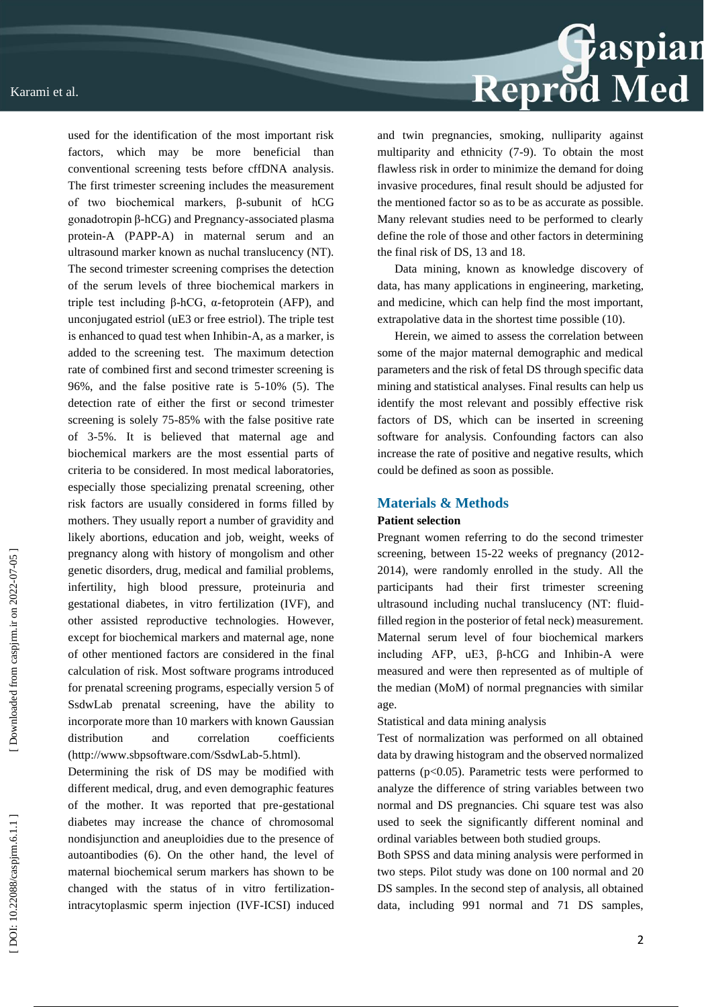

Determining the risk of DS may be modified with different medical, drug, and even demographic features of the mother. It was reported that pre -gestational diabetes may increase the chance of chromosomal nondisjunction and aneuploidies due to the presence of autoantibodies (6). On the other hand, the level of maternal biochemical serum markers has shown to be changed with the status of in vitro fertilization intracytoplasmic sperm injection (IVF -ICSI) induced



and twin pregnancies, smoking, nulliparity against multiparity and ethnicity (7 -9). To obtain the most flawless risk in order to minimize the demand for doing invasive procedures, final result should be adjusted for the mentioned factor so as to be as accurate as possible. Many relevant studies need to be performed to clearly define the role of those and other factors in determining the final risk of DS, 13 and 18.

Data mining, known as knowledge discovery of data, has many applications in engineering, marketing, and medicine, which can help find the most important, extrapolative data in the shortest time possible (10).

Herein, we aimed to assess the correlation between some of the major maternal demographic and medical parameters and the risk of fetal DS through specific data mining and statistical analyses. Final results can help us identify the most relevant and possibly effective risk factors of DS, which can be inserted in screening software for analysis. Confounding factors can also increase the rate of positive and negative results, which could be defined as soon as possible.

# **Materials & Methods**

### **Patient selection**

Pregnant women referring to do the second trimester screening, between 15-22 weeks of pregnancy (2012-2014), were randomly enrolled in the study. All the participants had their first trimester screening ultrasound including nuchal translucency (NT: fluid filled region in the posterior of fetal neck) measurement. Maternal serum level of four biochemical markers including AFP,  $uE3$ ,  $\beta$ -hCG and Inhibin-A were measured and were then represented as of multiple of the median (MoM) of normal pregnancies with similar age.

Statistical and data mining analysis

Test of normalization was performed on all obtained data by drawing histogram and the observed normalized patterns ( $p<0.05$ ). Parametric tests were performed to analyze the difference of string variables between two normal and DS pregnancies. Chi square test was also used to seek the significantly different nominal and ordinal variables between both studied groups.

Both SPSS and data mining analysis were performed in two steps. Pilot study was done on 100 normal and 20 DS samples. In the second step of analysis, all obtained data, including 991 normal and 71 DS samples,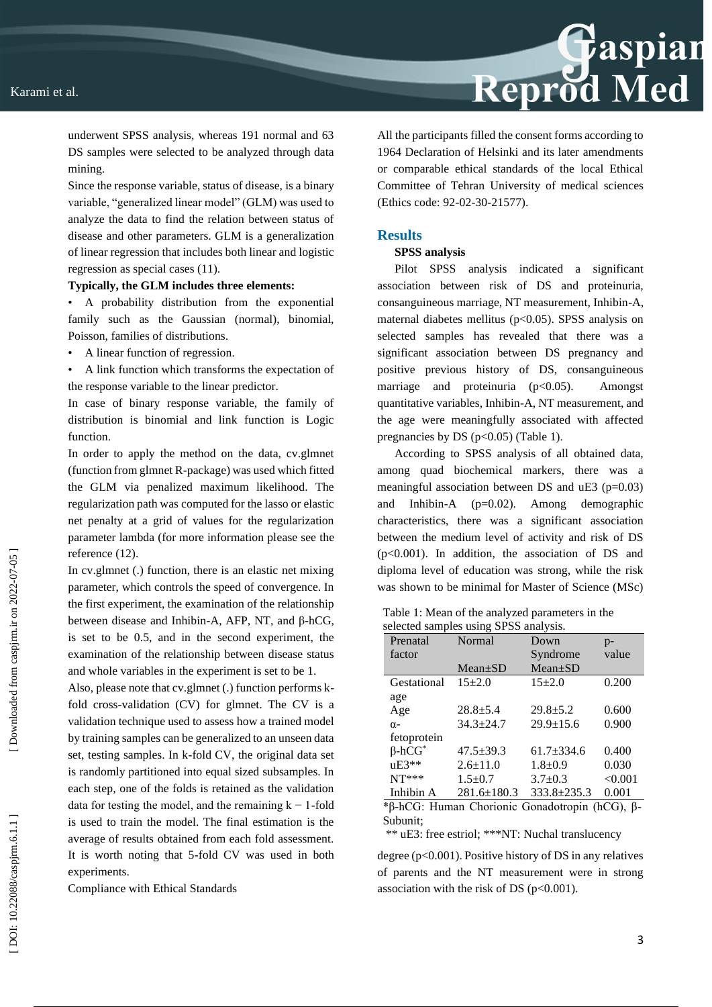

underwent SPSS analysis, whereas 191 normal and 63 DS samples were selected to be analyzed through data mining.

Since the response variable, status of disease, is a binary variable, "generalized linear model" (GLM) was used to analyze the data to find the relation between status of disease and other parameters. GLM is a generalization of linear regression that includes both linear and logistic regression as special cases (11).

#### **Typically, the GLM includes three elements:**

• A probability distribution from the exponential family such as the Gaussian (normal), binomial, Poisson, families of distributions.

- A linear function of regression.
- A link function which transforms the expectation of the response variable to the linear predictor.

In case of binary response variable, the family of distribution is binomial and link function is Logic function.

In order to apply the method on the data, cy.glmnet (function from glmnet R -package) was used which fitted the GLM via penalized maximum likelihood. The regularization path was computed for the lasso or elastic net penalty at a grid of values for the regularization parameter lambda (for more information please see the reference (12).

In cv.glmnet (.) function, there is an elastic net mixing parameter, which controls the speed of convergence. In the first experiment, the examination of the relationship between disease and Inhibin-A, AFP, NT, and  $\beta$ -hCG, is set to be 0.5, and in the second experiment, the examination of the relationship between disease status and whole variables in the experiment is set to be 1.

Also, please note that cv.glmnet (.) function performs k fold cross -validation (CV) for glmnet. The CV is a validation technique used to assess how a trained model by training samples can be generalized to an unseen data set, testing samples. In k -fold CV, the original data set is randomly partitioned into equal sized subsamples. In each step, one of the folds is retained as the validation data for testing the model, and the remaining  $k - 1$ -fold is used to train the model. The final estimation is the average of results obtained from each fold assessment. It is worth noting that 5 -fold CV was used in both experiments.

Compliance with Ethical Standards

All the participants filled the consent forms according to 1964 Declaration of Helsinki and its later amendments or comparable ethical standards of the local Ethical Committee of Tehran University of medical sciences (Ethics code: 92-02-30-21577).

# **Results**

#### **SPSS analysis**

Pilot SPSS analysis indicated a significant association between risk of DS and proteinuria, consanguineous marriage, NT measurement, Inhibin -A, maternal diabetes mellitus (p<0.05). SPSS analysis on selected samples has revealed that there was a significant association between DS pregnancy and positive previous history of DS, consanguineous marriage and proteinuria (p<0.05). Amongst quantitative variables, Inhibin -A, NT measurement, and the age were meaningfully associated with affected pregnancies by DS ( $p<0.05$ ) (Table 1).

According to SPSS analysis of all obtained data, among quad biochemical markers, there was a meaningful association between DS and uE3 (p=0.03) and Inhibin  $(p=0.02)$ . Among demographic characteristics, there was a significant association between the medium level of activity and risk of DS (p<0.001). In addition, the association of DS and diploma level of education was strong, while the risk was shown to be minimal for Master of Science (MSc)

Table 1: Mean of the analyzed parameters in the selected samples using SPSS analysis

| Prenatal                  | Normal            | Down            | $p-$    |
|---------------------------|-------------------|-----------------|---------|
| factor                    |                   | Syndrome        | value   |
|                           | $Mean \pm SD$     | $Mean \pm SD$   |         |
| Gestational               | $15+2.0$          | $15+2.0$        | 0.200   |
| age                       |                   |                 |         |
| Age                       | $28.8 \pm 5.4$    | $29.8 \pm 5.2$  | 0.600   |
| $\alpha$ -                | $34.3 + 24.7$     | $29.9 \pm 15.6$ | 0.900   |
| fetoprotein               |                   |                 |         |
| $\beta$ -hCG <sup>*</sup> | $47.5 \pm 39.3$   | $61.7 + 334.6$  | 0.400   |
| $uE3**$                   | $2.6 \pm 11.0$    | $1.8 + 0.9$     | 0.030   |
| $NT***$                   | $1.5 + 0.7$       | $3.7 \pm 0.3$   | < 0.001 |
| Inhibin A                 | $281.6 \pm 180.3$ | $333.8 + 235.3$ | 0.001   |

\*β -hCG: Human Chorionic Gonadotropin (hCG), β - Subunit;

\*\* uE3: free estriol; \*\*\*NT: Nuchal translucency

degree ( $p<0.001$ ). Positive history of DS in any relatives of parents and the NT measurement were in strong association with the risk of DS  $(p<0.001)$ .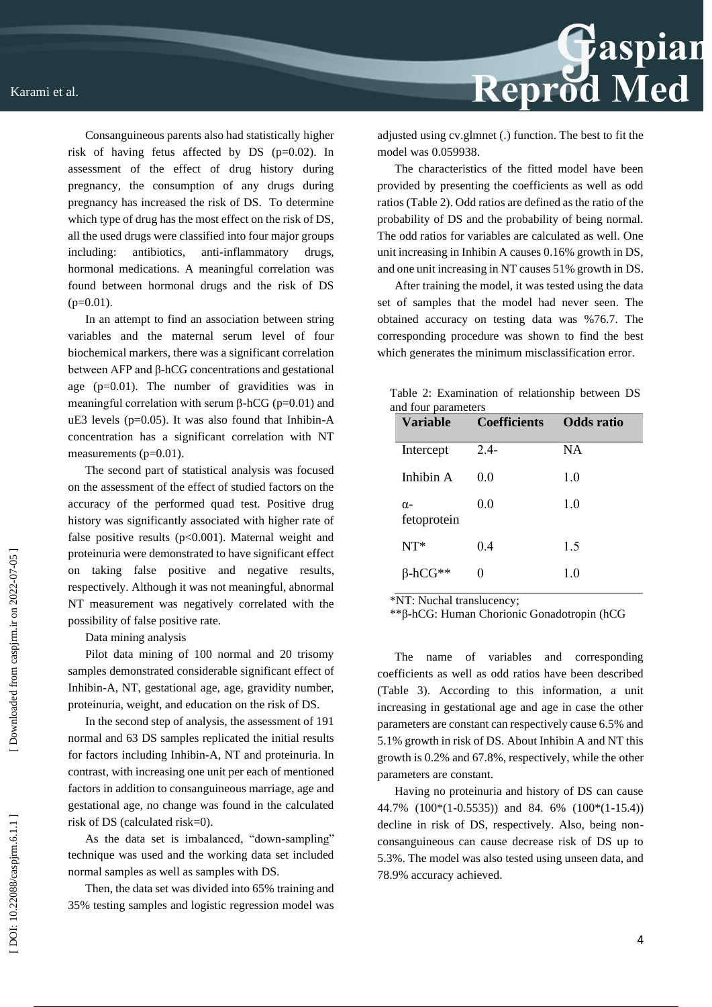Consanguineous parents also had statistically higher risk of having fetus affected by DS (p=0.02). In assessment of the effect of drug history during pregnancy, the consumption of any drugs during pregnancy has increased the risk of DS. To determine which type of drug has the most effect on the risk of DS, all the used drugs were classified into four major groups including: antibiotics, anti anti-inflammatory drugs, hormonal medications. A meaningful correlation was found between hormonal drugs and the risk of DS  $(p=0.01)$ .

In an attempt to find an association between string variables and the maternal serum level of four biochemical markers, there was a significant correlation between AFP and β -hCG concentrations and gestational age  $(p=0.01)$ . The number of gravidities was in meaningful correlation with serum  $\beta$ -hCG (p=0.01) and uE3 levels (p=0.05). It was also found that Inhibin -A concentration has a significant correlation with NT measurements (p=0.01).

The second part of statistical analysis was focused on the assessment of the effect of studied factors on the accuracy of the performed quad test. Positive drug history was significantly associated with higher rate of false positive results  $(p<0.001)$ . Maternal weight and proteinuria were demonstrated to have significant effect on taking false positive and negative results, respectively. Although it was not meaningful, abnormal NT measurement was negatively correlated with the possibility of false positive rate.

Data mining analysis

Pilot data mining of 100 normal and 20 trisomy samples demonstrated considerable significant effect of Inhibin -A, NT, gestational age, age, gravidity number, proteinuria, weight, and education on the risk of DS.

In the second step of analysis, the assessment of 191 normal and 63 DS samples replicated the initial results for factors including Inhibin -A, NT and proteinuria. In contrast, with increasing one unit per each of mentioned factors in addition to consanguineous marriage, age and gestational age, no change was found in the calculated risk of DS (calculated risk=0).

As the data set is imbalanced, "down -sampling" technique was used and the working data set included normal samples as well as samples with DS.

Then, the data set was divided into 65% training and 35% testing samples and logistic regression model was



adjusted using cv.glmnet (.) function. The best to fit the model was 0.059938.

The characteristics of the fitted model have been provided by presenting the coefficients as well as odd ratios (Table 2). Odd ratios are defined as the ratio of the probability of DS and the probability of being normal. The odd ratios for variables are calculated as well. One unit increasing in Inhibin A causes 0.16% growth in DS, and one unit increasing in NT causes 51% growth in DS.

After training the model, it was tested using the data set of samples that the model had never seen. The obtained accuracy on testing data was %76.7. The corresponding procedure was shown to find the best which generates the minimum misclassification error .

Table 2: Examination of relationship between DS and  $f(x)$  and  $f(x)$  parameters  $f(x)$ 

| Variable                  | <b>Coefficients</b> | <b>Odds</b> ratio |
|---------------------------|---------------------|-------------------|
| Intercept                 | $2.4-$              | <b>NA</b>         |
| Inhibin A                 | 0.0                 | 1.0               |
| $\alpha$ -<br>fetoprotein | 0.0                 | 1.0               |
| $NT*$                     | 0.4                 | 1.5               |
| B-hCG**                   |                     | 10                |

\*NT: Nuchal translucency;

\*\*β -hCG: Human Chorionic Gonadotropin (hCG

The name of variables and corresponding coefficients as well as odd ratios have been described (Table 3). According to this information, a unit increasing in gestational age and age in case the other parameters are constant can respectively cause 6.5% and 5.1% growth in risk of DS. About Inhibin A and NT this growth is 0.2% and 67.8%, respectively, while the other parameters are constant .

Having no proteinuria and history of DS can cause 44.7% (100\*(1 -0.5535)) and 84. 6% (100\*(1 -15.4)) decline in risk of DS, respectively. Also, being nonconsanguineous can cause decrease risk of DS up to 5.3%. The model was also tested using unseen data, and 78.9% accuracy achieved.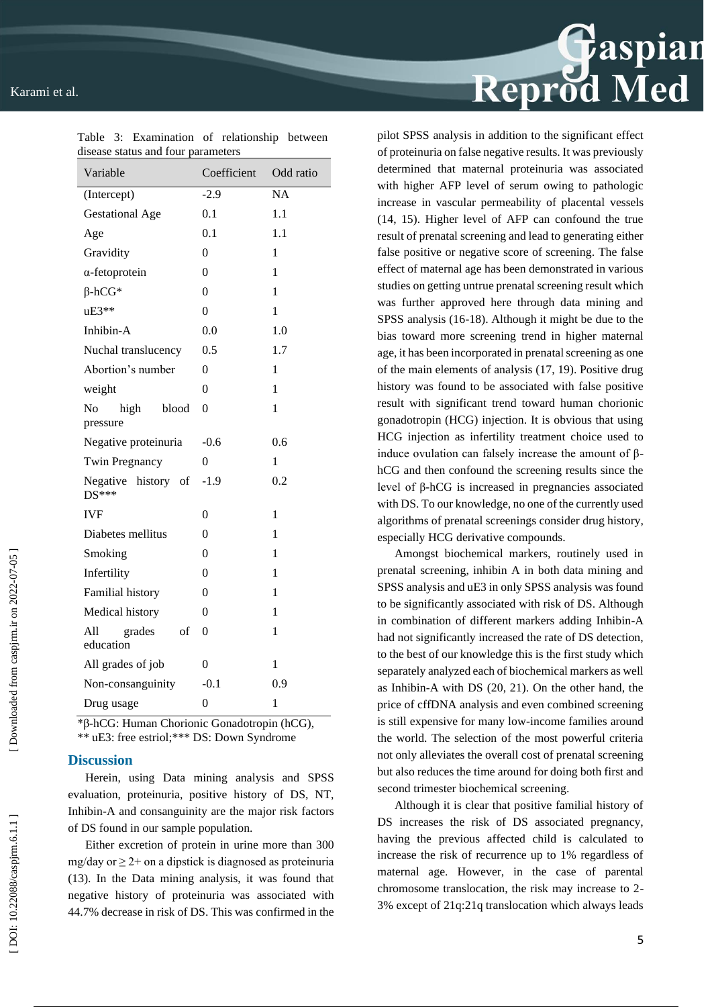| abease status and four parameters<br>Variable | Coefficient      | Odd ratio |
|-----------------------------------------------|------------------|-----------|
| (Intercept)                                   | $-2.9$           | <b>NA</b> |
| <b>Gestational Age</b>                        | 0.1              | 1.1       |
| Age                                           | 0.1              | 1.1       |
| Gravidity                                     | $\theta$         | 1         |
| $\alpha$ -fetoprotein                         | 0                | 1         |
| $\beta$ -hCG*                                 | 0                | 1         |
| $uE3**$                                       | 0                | 1         |
| Inhibin-A                                     | 0.0              | 1.0       |
| Nuchal translucency                           | 0.5              | 1.7       |
| Abortion's number                             | $\theta$         | 1         |
| weight                                        | $\theta$         | 1         |
| No<br>high<br>blood<br>pressure               | $\theta$         | 1         |
| Negative proteinuria                          | $-0.6$           | 0.6       |
| <b>Twin Pregnancy</b>                         | 0                | 1         |
| Negative history of<br>$DS***$                | $-1.9$           | 0.2       |
| <b>IVF</b>                                    | $\theta$         | 1         |
| Diabetes mellitus                             | $\theta$         | 1         |
| Smoking                                       | 0                | 1         |
| Infertility                                   | $\theta$         | 1         |
| Familial history                              | 0                | 1         |
| Medical history                               | 0                | 1         |
| All<br>grades<br>- of<br>education            | $\mathbf{0}$     | 1         |
| All grades of job                             | 0                | 1         |
| Non-consanguinity                             | $-0.1$           | 0.9       |
| Drug usage                                    | $\boldsymbol{0}$ | 1         |

Table 3 : Examination of relationship between disease status and four parameters

\*β -hCG: Human Chorionic Gonadotropin (hCG), \*\* uE3: free estriol;\*\*\* DS: Down Syndrome

### **Discussion**

Herein, using Data mining analysis and SPSS evaluation, proteinuria, positive history of DS, NT, Inhibin -A and consanguinity are the major risk factors of DS found in our sample population.

Either excretion of protein in urine more than 300 mg/day or  $\geq$  2+ on a dipstick is diagnosed as proteinuria (13). In the Data mining analysis, it was found that negative history of proteinuria was associated with 44.7% decrease in risk of DS. This was confirmed in the pilot SPSS analysis in addition to the significant effect of proteinuria on false negative results. It was previously determined that maternal proteinuria was associated with higher AFP level of serum owing to pathologic increase in vascular permeability of placental vessels (14, 15). Higher level of AFP can confound the true result of prenatal screening and lead to generating either false positive or negative score of screening. The false effect of maternal age has been demonstrated in various studies on getting untrue prenatal screening result which was further approved here through data mining and SPSS analysis (16 -18). Although it might be due to the bias toward more screening trend in higher maternal age, it has been incorporated in prenatal screening as one of the main elements of analysis (17, 19). Positive drug history was found to be associated with false positive result with significant trend toward human chorionic gonadotropin (HCG) injection. It is obvious that using HCG injection as infertility treatment choice used to induce ovulation can falsely increase the amount of  $β$ hCG and then confound the screening results since the level of β -hCG is increased in pregnancies associated with DS. To our knowledge, no one of the currently used algorithms of prenatal screenings consider drug history, especially HCG derivative compounds.

Reprod Med

Amongst biochemical markers, routinely used in prenatal screening, inhibin A in both data mining and SPSS analysis and uE3 in only SPSS analysis was found to be significantly associated with risk of DS. Although in combination of different markers adding Inhibin -A had not significantly increased the rate of DS detection, to the best of our knowledge this is the first study which separately analyzed each of biochemical markers as well as Inhibin -A with DS (20, 21). On the other hand, the price of cffDNA analysis and even combined screening is still expensive for many low -income families around the world. The selection of the most powerful criteria not only alleviates the overall cost of prenatal screening but also reduces the time around for doing both first and second trimester biochemical screening.

Although it is clear that positive familial history of DS increases the risk of DS associated pregnancy, having the previous affected child is calculated to increase the risk of recurrence up to 1% regardless of maternal age. However, in the case of parental chromosome translocation, the risk may increase to 2 - 3% except of 21q:21q translocation which always leads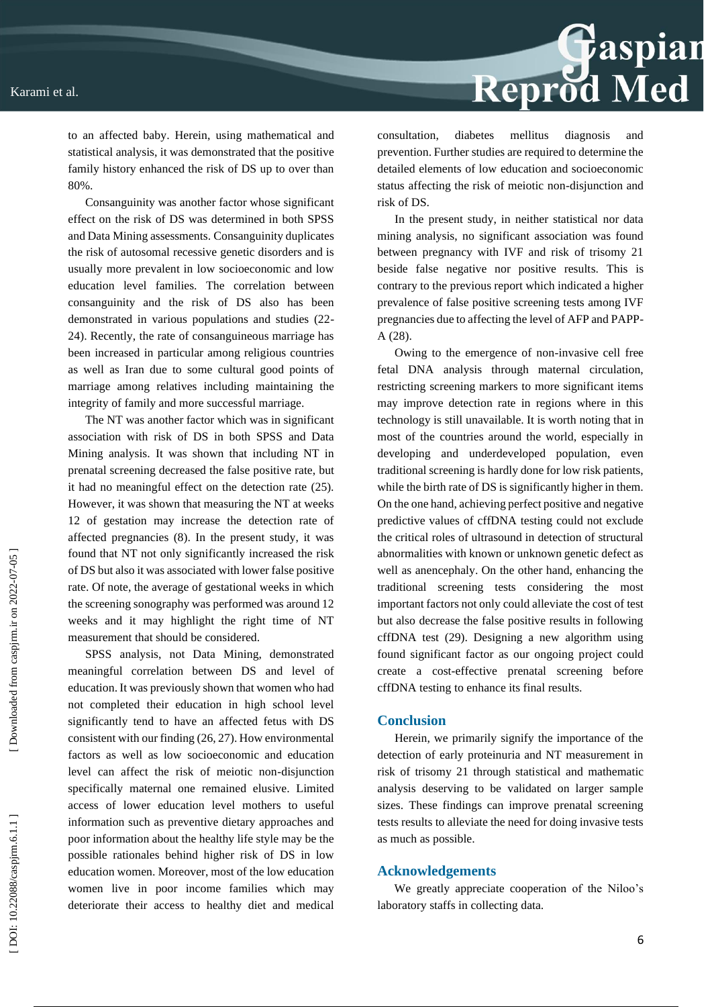Reprod Med consultation, diabetes mellitus diagnosis and

to an affected baby. Herein, using mathematical and statistical analysis, it was demonstrated that the positive family history enhanced the risk of DS up to over than 80%.

Consanguinity was another factor whose significant effect on the risk of DS was determined in both SPSS and Data Mining assessments. Consanguinity duplicates the risk of autosomal recessive genetic disorders and is usually more prevalent in low socioeconomic and low education level families. The correlation between consanguinity and the risk of DS also has been demonstrated in various populations and studies (22 - 24). Recently, the rate of consanguineous marriage has been increased in particular among religious countries as well as Iran due to some cultural good points of marriage among relatives including maintaining the integrity of family and more successful marriage.

The NT was another factor which was in significant association with risk of DS in both SPSS and Data Mining analysis. It was shown that including NT in prenatal screening decreased the false positive rate, but it had no meaningful effect on the detection rate (25). However, it was shown that measuring the NT at weeks 12 of gestation may increase the detection rate of affected pregnancies (8). In the present study, it was found that NT not only significantly increased the risk of DS but also it was associated with lower false positive rate. Of note, the average of gestational weeks in which the screening sonography was performed was around 12 weeks and it may highlight the right time of NT measurement that should be considered.

SPSS analysis, not Data Mining, demonstrated meaningful correlation between DS and level of education. It was previously shown that women who had not completed their education in high school level significantly tend to have an affected fetus with DS consistent with our finding (26, 27). How environmental factors as well as low socioeconomic and education level can affect the risk of meiotic non -disjunction specifically maternal one remained elusive. Limited access of lower education level mothers to useful information such as preventive dietary approaches and poor information about the healthy life style may be the possible rationales behind higher risk of DS in low education women. Moreover, most of the low education women live in poor income families which may deteriorate their access to healthy diet and medical

prevention. Further studies are required to determine the detailed elements of low education and socioeconomic status affecting the risk of meiotic non -disjunction and risk of DS.

In the present study, in neither statistical nor data mining analysis, no significant association was found between pregnancy with IVF and risk of trisomy 21 beside false negative nor positive results. This is contrary to the previous report which indicated a higher prevalence of false positive screening tests among IVF pregnancies due to affecting the level of AFP and PAPP - A (28).

Owing to the emergence of non -invasive cell free fetal DNA analysis through maternal circulation, restricting screening markers to more significant items may improve detection rate in regions where in this technology is still unavailable. It is worth noting that in most of the countries around the world, especially in developing and underdeveloped population, even traditional screening is hardly done for low risk patients, while the birth rate of DS is significantly higher in them. On the one hand, achieving perfect positive and negative predictive values of cffDNA testing could not exclude the critical roles of ultrasound in detection of structural abnormalities with known or unknown genetic defect as well as anencephaly. On the other hand, enhancing the traditional screening tests considering the most important factors not only could alleviate the cost of test but also decrease the false positive results in following cffDNA test (29). Designing a new algorithm using found significant factor as our ongoing project could create a cost -effective prenatal screening before cffDNA testing to enhance its final results.

### **Conclusion**

Herein, we primarily signify the importance of the detection of early proteinuria and NT measurement in risk of trisomy 21 through statistical and mathematic analysis deserving to be validated on larger sample sizes. These findings can improve prenatal screening tests results to alleviate the need for doing invasive tests as much as possible.

### **Acknowledgements**

We greatly appreciate cooperation of the Niloo's laboratory staffs in collecting data.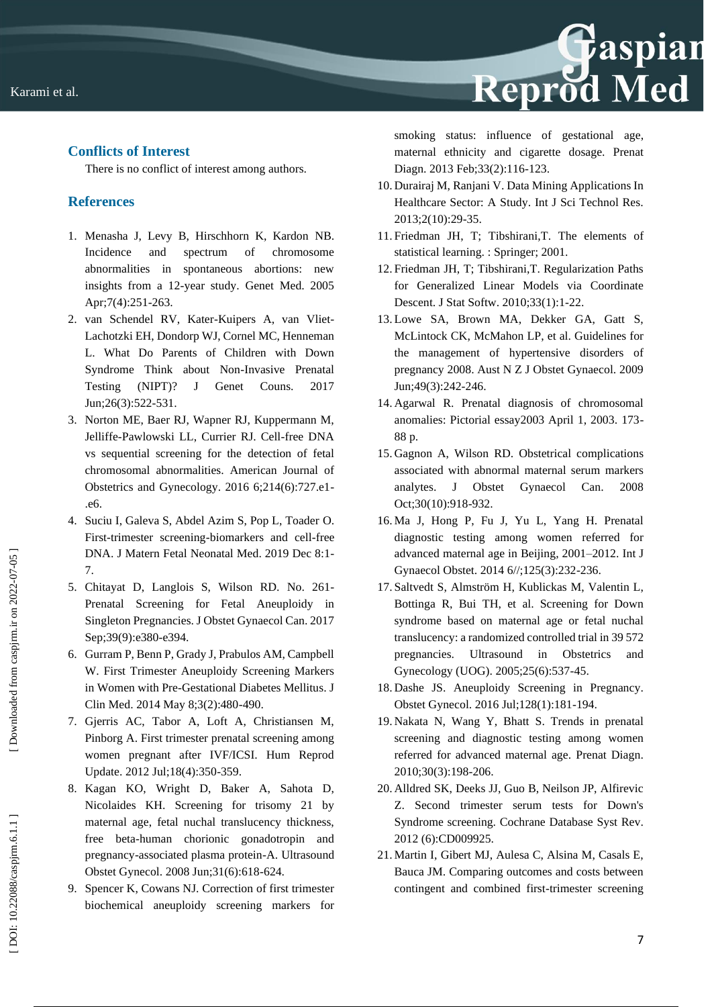# **Conflicts of Interest**

There is no conflict of interest among authors.

# **References**

- 1. Menasha J, Levy B, Hirschhorn K, Kardon NB. Incidence and spectrum of chromosome abnormalities in spontaneous abortions: new insights from a 12 -year study. Genet Med. 2005 Apr;7(4):251 -263.
- 2. van Schendel RV, Kater -Kuipers A, van Vliet Lachotzki EH, Dondorp WJ, Cornel MC, Henneman L. What Do Parents of Children with Down Syndrome Think about Non -Invasive Prenatal Testing (NIPT)? J Genet Couns. 2017 Jun;26(3):522 -531.
- 3. Norton ME, Baer RJ, Wapner RJ, Kuppermann M, Jelliffe -Pawlowski LL, Currier RJ. Cell -free DNA vs sequential screening for the detection of fetal chromosomal abnormalities. American Journal of Obstetrics and Gynecology. 2016 6;214(6):727.e1 - .e6.
- 4. Suciu I, Galeva S, Abdel Azim S, Pop L, Toader O. First -trimester screening -biomarkers and cell -free DNA. J Matern Fetal Neonatal Med. 2019 Dec 8:1 - 7.
- 5. Chitayat D, Langlois S, Wilson RD. No. 261 Prenatal Screening for Fetal Aneuploidy in Singleton Pregnancies. J Obstet Gynaecol Can. 2017 Sep;39(9):e380-e394.
- 6. Gurram P, Benn P, Grady J, Prabulos AM, Campbell W. First Trimester Aneuploidy Screening Markers in Women with Pre -Gestational Diabetes Mellitus. J Clin Med. 2014 May 8;3(2):480 -490.
- 7. Gjerris AC, Tabor A, Loft A, Christiansen M, Pinborg A. First trimester prenatal screening among women pregnant after IVF/ICSI. Hum Reprod Update. 2012 Jul;18(4):350 -359.
- 8. Kagan KO, Wright D, Baker A, Sahota D, Nicolaides KH. Screening for trisomy 21 by maternal age, fetal nuchal translucency thickness, free beta -human chorionic gonadotropin and pregnancy -associated plasma protein -A. Ultrasound Obstet Gynecol. 2008 Jun;31(6):618 -624.
- 9. Spencer K, Cowans NJ. Correction of first trimester biochemical aneuploidy screening markers for

smoking status: influence of gestational age, maternal ethnicity and cigarette dosage. Prenat Diagn. 2013 Feb;33(2):116 -123.

- 10. Durairaj M, Ranjani V. Data Mining Applications In Healthcare Sector: A Study. Int J Sci Technol Res. 2013;2(10):29 -35.
- 11. Friedman JH, T; Tibshirani,T. The elements of statistical learning. : Springer; 2001.
- 12. Friedman JH, T; Tibshirani,T. Regularization Paths for Generalized Linear Models via Coordinate Descent. J Stat Softw. 2010;33(1):1 -22.
- 13. Lowe SA, Brown MA, Dekker GA, Gatt S, McLintock CK, McMahon LP, et al. Guidelines for the management of hypertensive disorders of pregnancy 2008. Aust N Z J Obstet Gynaecol. 2009 Jun;49(3):242 -246.
- 14. Agarwal R. Prenatal diagnosis of chromosomal anomalies: Pictorial essay2003 April 1, 2003. 173 - 88 p.
- 15. Gagnon A, Wilson RD. Obstetrical complications associated with abnormal maternal serum markers analytes. J Obstet Gynaecol Can. 2008 Oct;30(10):918 -932.
- 16. Ma J, Hong P, Fu J, Yu L, Yang H. Prenatal diagnostic testing among women referred for advanced maternal age in Beijing, 2001 –2012. Int J Gynaecol Obstet. 2014 6//;125(3):232 -236.
- 17. Saltvedt S, Almström H, Kublickas M, Valentin L, Bottinga R, Bui TH, et al. Screening for Down syndrome based on maternal age or fetal nuchal translucency: a randomized controlled trial in 39 572 pregnancies. Ultrasound in Obstetrics and Gynecology (UOG). 2005;25(6):537 -45.
- 18. Dashe JS. Aneuploidy Screening in Pregnancy. Obstet Gynecol. 2016 Jul;128(1):181 -194.
- 19. Nakata N, Wang Y, Bhatt S. Trends in prenatal screening and diagnostic testing among women referred for advanced maternal age. Prenat Diagn. 2010;30(3):198 -206.
- 20. Alldred SK, Deeks JJ, Guo B, Neilson JP, Alfirevic Z. Second trimester serum tests for Down's Syndrome screening. Cochrane Database Syst Rev. 2012 (6):CD009925.
- 21. Martin I, Gibert MJ, Aulesa C, Alsina M, Casals E, Bauca JM. Comparing outcomes and costs between contingent and combined first -trimester screening